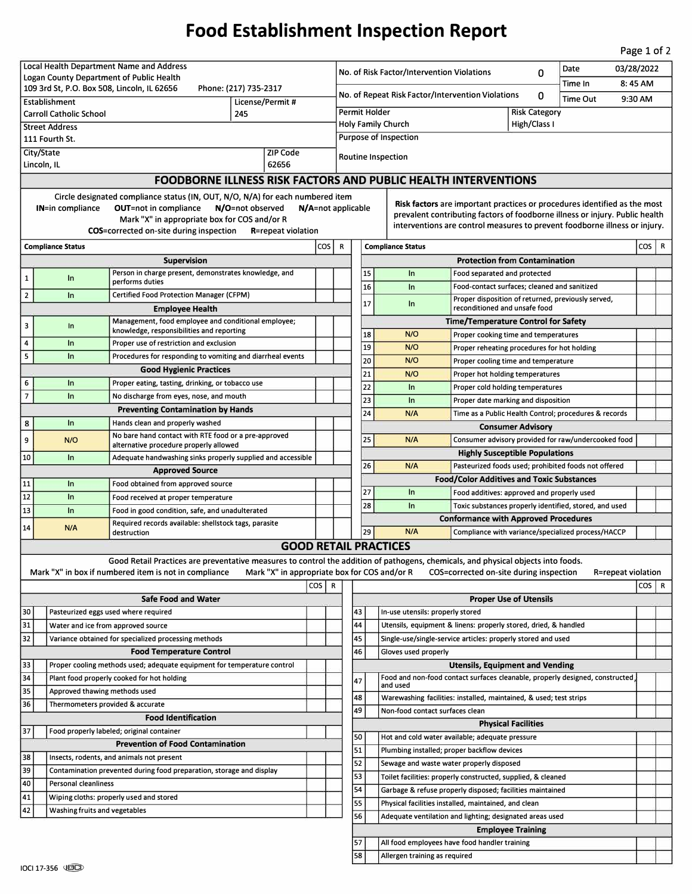## **Food Establishment Inspection Report**

Page 1 of 2

| Local Health Department Name and Address                                                                                                          |                                                                             |                                                                                                                                   |                                              |  |                                                        |                                                                                                                               | Date<br>03/28/2022                                                         |                                                                               |                                                                              |  |  |                    |         |   |
|---------------------------------------------------------------------------------------------------------------------------------------------------|-----------------------------------------------------------------------------|-----------------------------------------------------------------------------------------------------------------------------------|----------------------------------------------|--|--------------------------------------------------------|-------------------------------------------------------------------------------------------------------------------------------|----------------------------------------------------------------------------|-------------------------------------------------------------------------------|------------------------------------------------------------------------------|--|--|--------------------|---------|---|
| Logan County Department of Public Health                                                                                                          |                                                                             |                                                                                                                                   |                                              |  |                                                        | No. of Risk Factor/Intervention Violations<br>0<br>Time In                                                                    |                                                                            |                                                                               |                                                                              |  |  |                    | 8:45 AM |   |
| 109 3rd St, P.O. Box 508, Lincoln, IL 62656<br>Phone: (217) 735-2317                                                                              |                                                                             |                                                                                                                                   |                                              |  | No. of Repeat Risk Factor/Intervention Violations<br>0 |                                                                                                                               |                                                                            |                                                                               |                                                                              |  |  |                    |         |   |
| License/Permit #<br>Establishment                                                                                                                 |                                                                             |                                                                                                                                   |                                              |  |                                                        | <b>Time Out</b><br>9:30 AM                                                                                                    |                                                                            |                                                                               |                                                                              |  |  |                    |         |   |
| <b>Carroll Catholic School</b><br>245                                                                                                             |                                                                             |                                                                                                                                   |                                              |  |                                                        | Permit Holder<br><b>Risk Category</b>                                                                                         |                                                                            |                                                                               |                                                                              |  |  |                    |         |   |
| <b>Street Address</b>                                                                                                                             |                                                                             |                                                                                                                                   |                                              |  |                                                        | <b>Holy Family Church</b><br>High/Class I<br><b>Purpose of Inspection</b>                                                     |                                                                            |                                                                               |                                                                              |  |  |                    |         |   |
| 111 Fourth St.                                                                                                                                    |                                                                             |                                                                                                                                   |                                              |  |                                                        |                                                                                                                               |                                                                            |                                                                               |                                                                              |  |  |                    |         |   |
| City/State<br>ZIP Code<br>62656<br>Lincoln, IL                                                                                                    |                                                                             |                                                                                                                                   |                                              |  |                                                        | Routine Inspection                                                                                                            |                                                                            |                                                                               |                                                                              |  |  |                    |         |   |
|                                                                                                                                                   | <b>FOODBORNE ILLNESS RISK FACTORS AND PUBLIC HEALTH INTERVENTIONS</b>       |                                                                                                                                   |                                              |  |                                                        |                                                                                                                               |                                                                            |                                                                               |                                                                              |  |  |                    |         |   |
|                                                                                                                                                   |                                                                             |                                                                                                                                   |                                              |  |                                                        |                                                                                                                               |                                                                            |                                                                               |                                                                              |  |  |                    |         |   |
| Circle designated compliance status (IN, OUT, N/O, N/A) for each numbered item                                                                    |                                                                             |                                                                                                                                   |                                              |  |                                                        |                                                                                                                               | Risk factors are important practices or procedures identified as the most  |                                                                               |                                                                              |  |  |                    |         |   |
| <b>OUT=not in compliance</b><br>N/O=not observed<br>N/A=not applicable<br><b>IN=in compliance</b><br>Mark "X" in appropriate box for COS and/or R |                                                                             |                                                                                                                                   |                                              |  |                                                        |                                                                                                                               |                                                                            |                                                                               | prevalent contributing factors of foodborne illness or injury. Public health |  |  |                    |         |   |
| <b>COS</b> =corrected on-site during inspection<br><b>R</b> =repeat violation                                                                     |                                                                             |                                                                                                                                   |                                              |  |                                                        |                                                                                                                               | interventions are control measures to prevent foodborne illness or injury. |                                                                               |                                                                              |  |  |                    |         |   |
| cos  <br><b>Compliance Status</b>                                                                                                                 |                                                                             |                                                                                                                                   |                                              |  |                                                        |                                                                                                                               | cos  <br>R<br><b>Compliance Status</b>                                     |                                                                               |                                                                              |  |  |                    |         | R |
|                                                                                                                                                   |                                                                             | <b>Supervision</b>                                                                                                                |                                              |  |                                                        | <b>Protection from Contamination</b>                                                                                          |                                                                            |                                                                               |                                                                              |  |  |                    |         |   |
|                                                                                                                                                   |                                                                             | Person in charge present, demonstrates knowledge, and                                                                             |                                              |  |                                                        |                                                                                                                               | 15                                                                         | In                                                                            | Food separated and protected                                                 |  |  |                    |         |   |
| 1                                                                                                                                                 | In                                                                          | performs duties                                                                                                                   |                                              |  |                                                        |                                                                                                                               | 16                                                                         | In                                                                            | Food-contact surfaces; cleaned and sanitized                                 |  |  |                    |         |   |
| $\overline{2}$                                                                                                                                    | $\ln$                                                                       | Certified Food Protection Manager (CFPM)                                                                                          |                                              |  |                                                        |                                                                                                                               |                                                                            |                                                                               | Proper disposition of returned, previously served,                           |  |  |                    |         |   |
|                                                                                                                                                   |                                                                             | <b>Employee Health</b>                                                                                                            |                                              |  |                                                        |                                                                                                                               | 17                                                                         | In                                                                            | reconditioned and unsafe food                                                |  |  |                    |         |   |
| з                                                                                                                                                 | In                                                                          | Management, food employee and conditional employee;<br>knowledge, responsibilities and reporting                                  |                                              |  |                                                        | <b>Time/Temperature Control for Safety</b>                                                                                    |                                                                            |                                                                               |                                                                              |  |  |                    |         |   |
| 4                                                                                                                                                 | In                                                                          | Proper use of restriction and exclusion                                                                                           |                                              |  |                                                        |                                                                                                                               | 18                                                                         | N/O                                                                           | Proper cooking time and temperatures                                         |  |  |                    |         |   |
| 5                                                                                                                                                 | In                                                                          | Procedures for responding to vomiting and diarrheal events                                                                        |                                              |  |                                                        |                                                                                                                               | 19                                                                         | N/O                                                                           | Proper reheating procedures for hot holding                                  |  |  |                    |         |   |
|                                                                                                                                                   |                                                                             | <b>Good Hygienic Practices</b>                                                                                                    |                                              |  |                                                        |                                                                                                                               | 20<br>21                                                                   | N/O                                                                           | Proper cooling time and temperature                                          |  |  |                    |         |   |
| 6                                                                                                                                                 | In                                                                          | Proper eating, tasting, drinking, or tobacco use                                                                                  |                                              |  |                                                        |                                                                                                                               | 22                                                                         | N/O<br>In                                                                     | Proper hot holding temperatures                                              |  |  |                    |         |   |
| 7                                                                                                                                                 | ln                                                                          | No discharge from eyes, nose, and mouth                                                                                           |                                              |  |                                                        |                                                                                                                               | 23                                                                         | In                                                                            | Proper cold holding temperatures<br>Proper date marking and disposition      |  |  |                    |         |   |
|                                                                                                                                                   |                                                                             | <b>Preventing Contamination by Hands</b>                                                                                          |                                              |  |                                                        |                                                                                                                               | 24                                                                         | N/A                                                                           | Time as a Public Health Control; procedures & records                        |  |  |                    |         |   |
| 8                                                                                                                                                 | In                                                                          | Hands clean and properly washed                                                                                                   |                                              |  |                                                        |                                                                                                                               |                                                                            |                                                                               | <b>Consumer Advisory</b>                                                     |  |  |                    |         |   |
| 9                                                                                                                                                 | N/O                                                                         | No bare hand contact with RTE food or a pre-approved                                                                              |                                              |  |                                                        |                                                                                                                               | 25                                                                         | N/A                                                                           | Consumer advisory provided for raw/undercooked food                          |  |  |                    |         |   |
|                                                                                                                                                   |                                                                             | alternative procedure properly allowed                                                                                            |                                              |  |                                                        |                                                                                                                               |                                                                            |                                                                               | <b>Highly Susceptible Populations</b>                                        |  |  |                    |         |   |
| 10                                                                                                                                                | $\ln$                                                                       | Adequate handwashing sinks properly supplied and accessible                                                                       |                                              |  |                                                        |                                                                                                                               | 26                                                                         | N/A                                                                           | Pasteurized foods used; prohibited foods not offered                         |  |  |                    |         |   |
|                                                                                                                                                   | In                                                                          | <b>Approved Source</b>                                                                                                            |                                              |  |                                                        |                                                                                                                               |                                                                            |                                                                               | <b>Food/Color Additives and Toxic Substances</b>                             |  |  |                    |         |   |
| 11<br>12                                                                                                                                          | In                                                                          | Food obtained from approved source<br>Food received at proper temperature                                                         |                                              |  |                                                        |                                                                                                                               | 27                                                                         | In                                                                            | Food additives: approved and properly used                                   |  |  |                    |         |   |
| 13                                                                                                                                                | In                                                                          |                                                                                                                                   |                                              |  |                                                        |                                                                                                                               | 28                                                                         | In                                                                            | Toxic substances properly identified, stored, and used                       |  |  |                    |         |   |
|                                                                                                                                                   |                                                                             | Food in good condition, safe, and unadulterated<br>Required records available: shellstock tags, parasite                          |                                              |  |                                                        |                                                                                                                               |                                                                            |                                                                               | <b>Conformance with Approved Procedures</b>                                  |  |  |                    |         |   |
| 14<br>N/A<br>destruction                                                                                                                          |                                                                             |                                                                                                                                   |                                              |  |                                                        | 29<br>N/A<br>Compliance with variance/specialized process/HACCP                                                               |                                                                            |                                                                               |                                                                              |  |  |                    |         |   |
|                                                                                                                                                   |                                                                             |                                                                                                                                   |                                              |  |                                                        |                                                                                                                               |                                                                            | <b>GOOD RETAIL PRACTICES</b>                                                  |                                                                              |  |  |                    |         |   |
|                                                                                                                                                   |                                                                             | Good Retail Practices are preventative measures to control the addition of pathogens, chemicals, and physical objects into foods. |                                              |  |                                                        |                                                                                                                               |                                                                            |                                                                               |                                                                              |  |  |                    |         |   |
|                                                                                                                                                   |                                                                             | Mark "X" in box if numbered item is not in compliance                                                                             | Mark "X" in appropriate box for COS and/or R |  |                                                        |                                                                                                                               |                                                                            |                                                                               | COS=corrected on-site during inspection                                      |  |  | R=repeat violation |         |   |
| $\cos   R$                                                                                                                                        |                                                                             |                                                                                                                                   |                                              |  |                                                        | $\cos   R$                                                                                                                    |                                                                            |                                                                               |                                                                              |  |  |                    |         |   |
|                                                                                                                                                   |                                                                             | <b>Safe Food and Water</b>                                                                                                        |                                              |  |                                                        | <b>Proper Use of Utensils</b>                                                                                                 |                                                                            |                                                                               |                                                                              |  |  |                    |         |   |
| 30                                                                                                                                                |                                                                             | Pasteurized eggs used where required                                                                                              |                                              |  |                                                        | 43<br>In-use utensils: properly stored                                                                                        |                                                                            |                                                                               |                                                                              |  |  |                    |         |   |
| 31                                                                                                                                                |                                                                             | Water and ice from approved source                                                                                                |                                              |  |                                                        | 44<br>Utensils, equipment & linens: properly stored, dried, & handled                                                         |                                                                            |                                                                               |                                                                              |  |  |                    |         |   |
| 32<br>Variance obtained for specialized processing methods                                                                                        |                                                                             |                                                                                                                                   |                                              |  |                                                        | 45<br>Single-use/single-service articles: properly stored and used                                                            |                                                                            |                                                                               |                                                                              |  |  |                    |         |   |
| 33                                                                                                                                                |                                                                             | <b>Food Temperature Control</b>                                                                                                   |                                              |  |                                                        | 46                                                                                                                            |                                                                            | Gloves used properly                                                          | <b>Utensils, Equipment and Vending</b>                                       |  |  |                    |         |   |
| 34                                                                                                                                                | Proper cooling methods used; adequate equipment for temperature control     |                                                                                                                                   |                                              |  |                                                        |                                                                                                                               |                                                                            | Food and non-food contact surfaces cleanable, properly designed, constructed, |                                                                              |  |  |                    |         |   |
| 35                                                                                                                                                | Plant food properly cooked for hot holding<br>Approved thawing methods used |                                                                                                                                   |                                              |  |                                                        | 47                                                                                                                            |                                                                            | and used                                                                      |                                                                              |  |  |                    |         |   |
| 36                                                                                                                                                | Thermometers provided & accurate                                            |                                                                                                                                   |                                              |  |                                                        | 48                                                                                                                            |                                                                            | Warewashing facilities: installed, maintained, & used; test strips            |                                                                              |  |  |                    |         |   |
| <b>Food Identification</b>                                                                                                                        |                                                                             |                                                                                                                                   |                                              |  |                                                        | 49                                                                                                                            |                                                                            | Non-food contact surfaces clean                                               |                                                                              |  |  |                    |         |   |
| 37<br>Food properly labeled; original container                                                                                                   |                                                                             |                                                                                                                                   |                                              |  |                                                        |                                                                                                                               |                                                                            |                                                                               | <b>Physical Facilities</b>                                                   |  |  |                    |         |   |
|                                                                                                                                                   | <b>Prevention of Food Contamination</b>                                     |                                                                                                                                   |                                              |  |                                                        | 50                                                                                                                            |                                                                            | Hot and cold water available; adequate pressure                               |                                                                              |  |  |                    |         |   |
| 38                                                                                                                                                | Insects, rodents, and animals not present                                   |                                                                                                                                   |                                              |  |                                                        | 51<br>Plumbing installed; proper backflow devices                                                                             |                                                                            |                                                                               |                                                                              |  |  |                    |         |   |
| 39                                                                                                                                                | Contamination prevented during food preparation, storage and display        |                                                                                                                                   |                                              |  |                                                        | 52<br>Sewage and waste water properly disposed                                                                                |                                                                            |                                                                               |                                                                              |  |  |                    |         |   |
| 40                                                                                                                                                | Personal cleanliness                                                        |                                                                                                                                   |                                              |  |                                                        | 53<br>Toilet facilities: properly constructed, supplied, & cleaned                                                            |                                                                            |                                                                               |                                                                              |  |  |                    |         |   |
| 41<br>Wiping cloths: properly used and stored                                                                                                     |                                                                             |                                                                                                                                   |                                              |  |                                                        | 54<br>Garbage & refuse properly disposed; facilities maintained<br>55<br>Physical facilities installed, maintained, and clean |                                                                            |                                                                               |                                                                              |  |  |                    |         |   |
| 42<br>Washing fruits and vegetables                                                                                                               |                                                                             |                                                                                                                                   |                                              |  |                                                        | 56                                                                                                                            |                                                                            | Adequate ventilation and lighting; designated areas used                      |                                                                              |  |  |                    |         |   |
|                                                                                                                                                   |                                                                             |                                                                                                                                   |                                              |  |                                                        |                                                                                                                               |                                                                            |                                                                               | <b>Employee Training</b>                                                     |  |  |                    |         |   |
|                                                                                                                                                   |                                                                             |                                                                                                                                   |                                              |  |                                                        | 57                                                                                                                            |                                                                            | All food employees have food handler training                                 |                                                                              |  |  |                    |         |   |
|                                                                                                                                                   |                                                                             |                                                                                                                                   |                                              |  |                                                        |                                                                                                                               | 58                                                                         | Allergen training as required                                                 |                                                                              |  |  |                    |         |   |